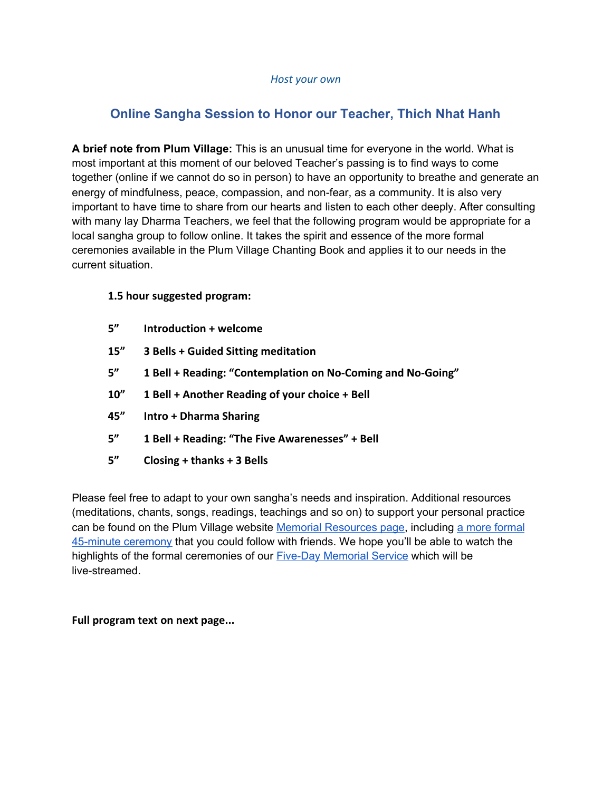#### *Host your own*

# **Online Sangha Session to Honor our Teacher, Thich Nhat Hanh**

**A brief note from Plum Village:** This is an unusual time for everyone in the world. What is most important at this moment of our beloved Teacher's passing is to find ways to come together (online if we cannot do so in person) to have an opportunity to breathe and generate an energy of mindfulness, peace, compassion, and non-fear, as a community. It is also very important to have time to share from our hearts and listen to each other deeply. After consulting with many lay Dharma Teachers, we feel that the following program would be appropriate for a local sangha group to follow online. It takes the spirit and essence of the more formal ceremonies available in the Plum Village Chanting Book and applies it to our needs in the current situation.

# **1.5 hour suggested program:**

- **5" Introduction + welcome**
- **15" 3 Bells + Guided Sitting meditation**
- **5" 1 Bell + Reading: "Contemplation on No-Coming and No-Going"**
- **10" 1 Bell + Another Reading of your choice + Bell**
- **45" Intro + Dharma Sharing**
- **5" 1 Bell + Reading: "The Five Awarenesses" + Bell**
- **5" Closing + thanks + 3 Bells**

Please feel free to adapt to your own sangha's needs and inspiration. Additional resources (meditations, chants, songs, readings, teachings and so on) to support your personal practice can be found on the Plum Village website Memorial [Resources](https://plumvstaging.wpengine.com/resources-for-commemorating-thich-nhat-hanh/) page, including a more [formal](https://plumvstaging.wpengine.com/resources-for-commemorating-thich-nhat-hanh/#ceremonies) [45-minute](https://plumvstaging.wpengine.com/resources-for-commemorating-thich-nhat-hanh/#ceremonies) ceremony that you could follow with friends. We hope you'll be able to watch the highlights of the formal ceremonies of our Five-Day [Memorial](https://plumvstaging.wpengine.com/five-day-memorial-service-for-thich-nhat-hanh/) Service which will be live-streamed.

# **Full program text on next page...**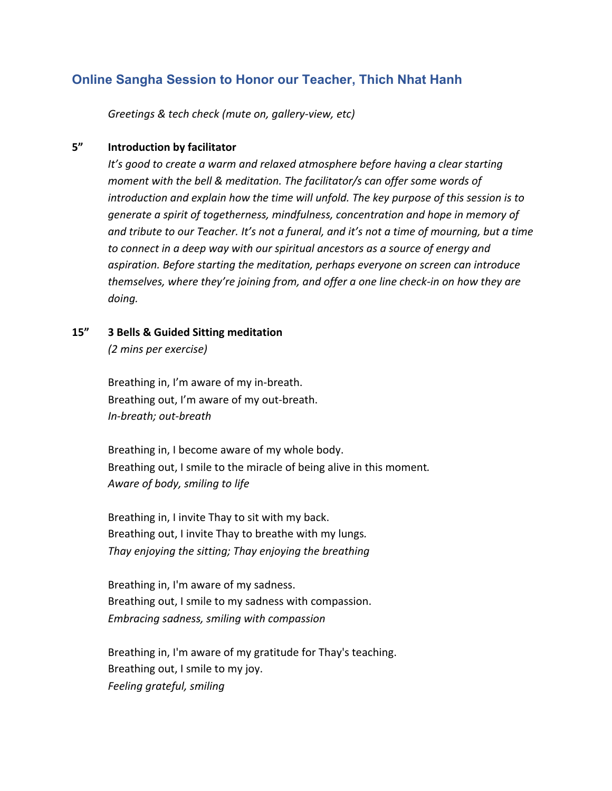# **Online Sangha Session to Honor our Teacher, Thich Nhat Hanh**

*Greetings & tech check (mute on, gallery-view, etc)*

# **5" Introduction by facilitator**

*It's good to create a warm and relaxed atmosphere before having a clear starting moment with the bell & meditation. The facilitator/s can offer some words of introduction and explain how the time will unfold. The key purpose of this session is to generate a spirit of togetherness, mindfulness, concentration and hope in memory of and tribute to our Teacher. It's not a funeral, and it's not a time of mourning, but a time to connect in a deep way with our spiritual ancestors as a source of energy and aspiration. Before starting the meditation, perhaps everyone on screen can introduce themselves, where they're joining from, and offer a one line check-in on how they are doing.*

**15" 3 Bells & Guided Sitting meditation**

*(2 mins per exercise)*

Breathing in, I'm aware of my in-breath. Breathing out, I'm aware of my out-breath. *In-breath; out-breath*

Breathing in, I become aware of my whole body. Breathing out, I smile to the miracle of being alive in this moment*. Aware of body, smiling to life*

Breathing in, I invite Thay to sit with my back. Breathing out, I invite Thay to breathe with my lungs*. Thay enjoying the sitting; Thay enjoying the breathing*

Breathing in, I'm aware of my sadness. Breathing out, I smile to my sadness with compassion. *Embracing sadness, smiling with compassion*

Breathing in, I'm aware of my gratitude for Thay's teaching. Breathing out, I smile to my joy. *Feeling grateful, smiling*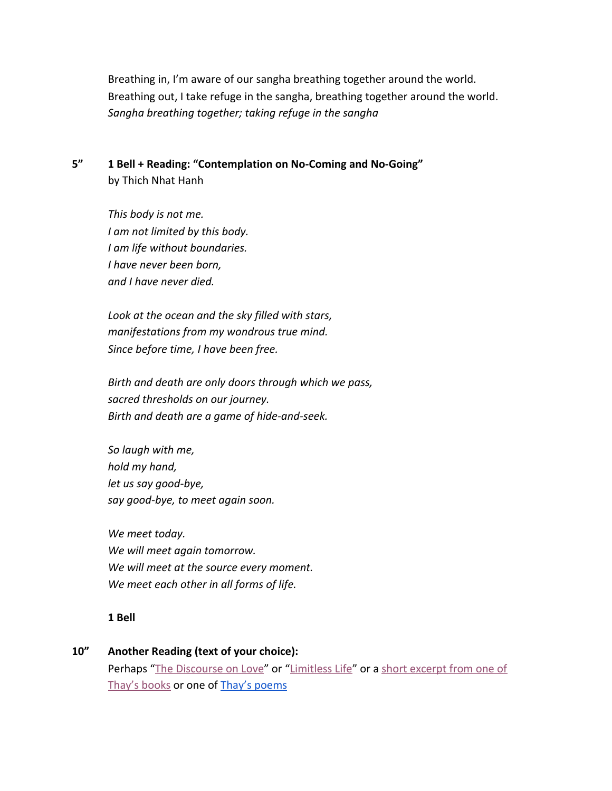Breathing in, I'm aware of our sangha breathing together around the world. Breathing out, I take refuge in the sangha, breathing together around the world. *Sangha breathing together; taking refuge in the sangha*

**5" 1 Bell + Reading: "Contemplation on No-Coming and No-Going"** by Thich Nhat Hanh

> *This body is not me. I am not limited by this body. I am life without boundaries. I have never been born, and I have never died.*

*Look at the ocean and the sky filled with stars, manifestations from my wondrous true mind. Since before time, I have been free.*

*Birth and death are only doors through which we pass, sacred thresholds on our journey. Birth and death are a game of hide-and-seek.*

*So laugh with me, hold my hand, let us say good-bye, say good-bye, to meet again soon.*

*We meet today. We will meet again tomorrow. We will meet at the source every moment. We meet each other in all forms of life.*

**1 Bell**

**10" Another Reading (text of your choice):** Perhaps ["The Discourse on Love](https://plumvillage.org/sutra/discourse-on-love/)" or ["Limitless Life](https://plumvstaging.wpengine.com/book-excerpts/#limitless-life)" or a [short excerpt from one of](https://plumvstaging.wpengine.com/book-excerpts/) [Thay's books](https://plumvstaging.wpengine.com/book-excerpts/) or one of [Thay's poems](https://plumvstaging.wpengine.com/poems/)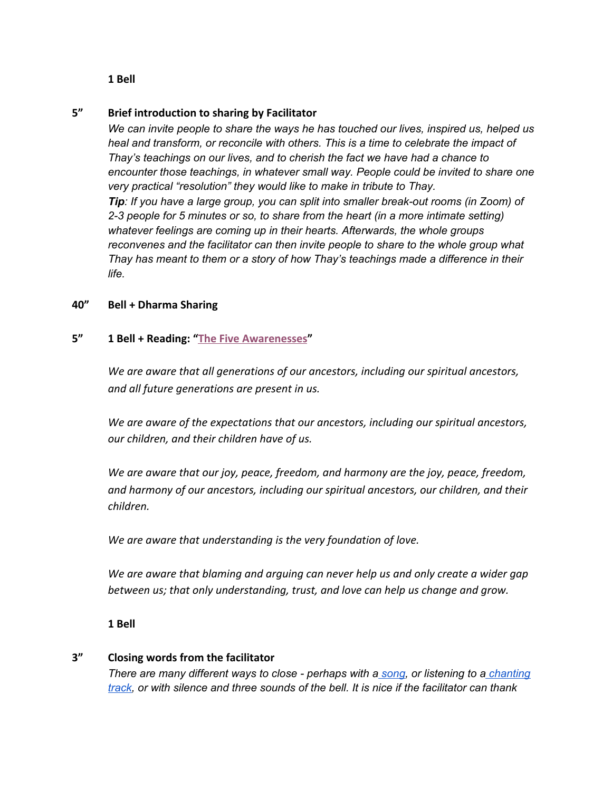#### **1 Bell**

# **5" Brief introduction to sharing by Facilitator**

*We can invite people to share the ways he has touched our lives, inspired us, helped us heal and transform, or reconcile with others. This is a time to celebrate the impact of Thay's teachings on our lives, and to cherish the fact we have had a chance to encounter those teachings, in whatever small way. People could be invited to share one very practical "resolution" they would like to make in tribute to Thay. Tip: If you have a large group, you can split into smaller break-out rooms (in Zoom) of 2-3 people for 5 minutes or so, to share from the heart (in a more intimate setting) whatever feelings are coming up in their hearts. Afterwards, the whole groups reconvenes and the facilitator can then invite people to share to the whole group what Thay has meant to them or a story of how Thay's teachings made a difference in their life.*

# **40" Bell + Dharma Sharing**

# **5" 1 Bell + Reading: ["The Five Awarenesses"](https://plumvstaging.wpengine.com/five-remembrances-five-awarenesses/#the-five-awarenesses)**

*We are aware that all generations of our ancestors, including our spiritual ancestors, and all future generations are present in us.*

*We are aware of the expectations that our ancestors, including our spiritual ancestors, our children, and their children have of us.*

*We are aware that our joy, peace, freedom, and harmony are the joy, peace, freedom, and harmony of our ancestors, including our spiritual ancestors, our children, and their children.*

*We are aware that understanding is the very foundation of love.*

*We are aware that blaming and arguing can never help us and only create a wider gap between us; that only understanding, trust, and love can help us change and grow.*

**1 Bell**

# **3" Closing words from the facilitator**

*There are many different ways to close - perhaps with a [song,](https://plumvstaging.wpengine.com/resources-for-commemorating-thich-nhat-hanh/#chants-songs) or listening to a [chanting](https://plumvstaging.wpengine.com/resources-for-commemorating-thich-nhat-hanh/#chants-songs) [track,](https://plumvstaging.wpengine.com/resources-for-commemorating-thich-nhat-hanh/#chants-songs) or with silence and three sounds of the bell. It is nice if the facilitator can thank*